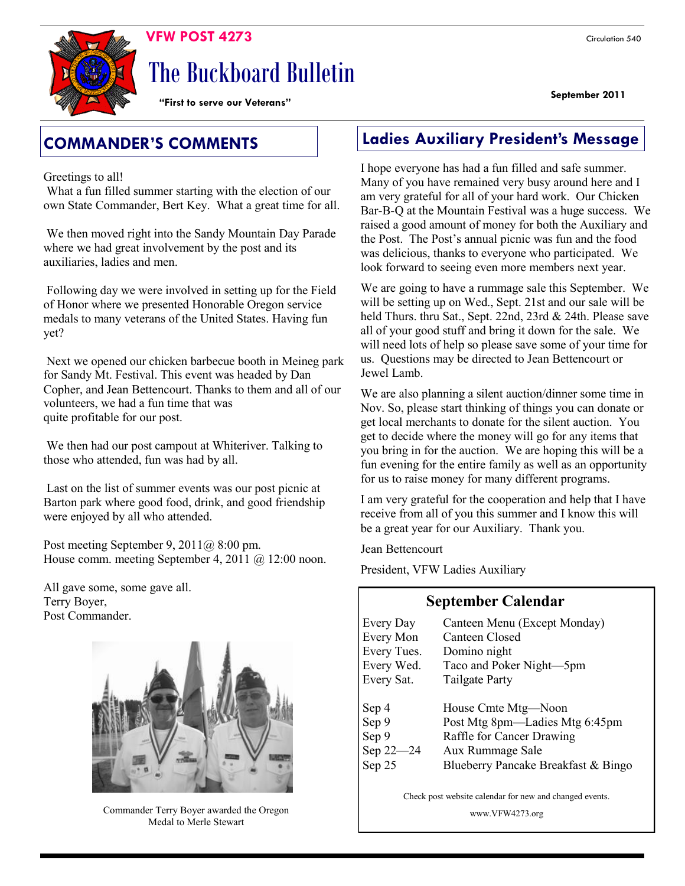**September 2011** 



# The Buckboard Bulletin

**"First to serve our Veterans"**

Greetings to all!

What a fun filled summer starting with the election of our own State Commander, Bert Key. What a great time for all.

We then moved right into the Sandy Mountain Day Parade where we had great involvement by the post and its auxiliaries, ladies and men.

Following day we were involved in setting up for the Field of Honor where we presented Honorable Oregon service medals to many veterans of the United States. Having fun yet?

Next we opened our chicken barbecue booth in Meineg park for Sandy Mt. Festival. This event was headed by Dan Copher, and Jean Bettencourt. Thanks to them and all of our volunteers, we had a fun time that was quite profitable for our post.

We then had our post campout at Whiteriver. Talking to those who attended, fun was had by all.

Last on the list of summer events was our post picnic at Barton park where good food, drink, and good friendship were enjoyed by all who attended.

Post meeting September 9, 2011@ 8:00 pm. House comm. meeting September 4, 2011 @ 12:00 noon.

All gave some, some gave all. Terry Boyer, Post Commander.



Commander Terry Boyer awarded the Oregon Medal to Merle Stewart

### **COMMANDER'S COMMENTS Ladies Auxiliary President's Message**

I hope everyone has had a fun filled and safe summer. Many of you have remained very busy around here and I am very grateful for all of your hard work. Our Chicken Bar-B-Q at the Mountain Festival was a huge success. We raised a good amount of money for both the Auxiliary and the Post. The Post's annual picnic was fun and the food was delicious, thanks to everyone who participated. We look forward to seeing even more members next year.

We are going to have a rummage sale this September. We will be setting up on Wed., Sept. 21st and our sale will be held Thurs. thru Sat., Sept. 22nd, 23rd & 24th. Please save all of your good stuff and bring it down for the sale. We will need lots of help so please save some of your time for us. Questions may be directed to Jean Bettencourt or Jewel Lamb.

We are also planning a silent auction/dinner some time in Nov. So, please start thinking of things you can donate or get local merchants to donate for the silent auction. You get to decide where the money will go for any items that you bring in for the auction. We are hoping this will be a fun evening for the entire family as well as an opportunity for us to raise money for many different programs.

I am very grateful for the cooperation and help that I have receive from all of you this summer and I know this will be a great year for our Auxiliary. Thank you.

Jean Bettencourt

President, VFW Ladies Auxiliary

#### **September Calendar**

| <b>Every Day</b><br><b>Every Mon</b> | Canteen Menu (Except Monday)<br>Canteen Closed |
|--------------------------------------|------------------------------------------------|
| Every Tues.                          | Domino night                                   |
| Every Wed.                           | Taco and Poker Night-5pm                       |
| Every Sat.                           | Tailgate Party                                 |
|                                      |                                                |
| Sep 4                                | House Cmte Mtg—Noon                            |
| Sep 9                                | Post Mtg 8pm—Ladies Mtg 6:45pm                 |
| Sep 9                                | Raffle for Cancer Drawing                      |
| Sep 22-24                            | Aux Rummage Sale                               |
| Sep 25                               | Blueberry Pancake Breakfast & Bingo            |

Check post website calendar for new and changed events.

www.VFW4273.org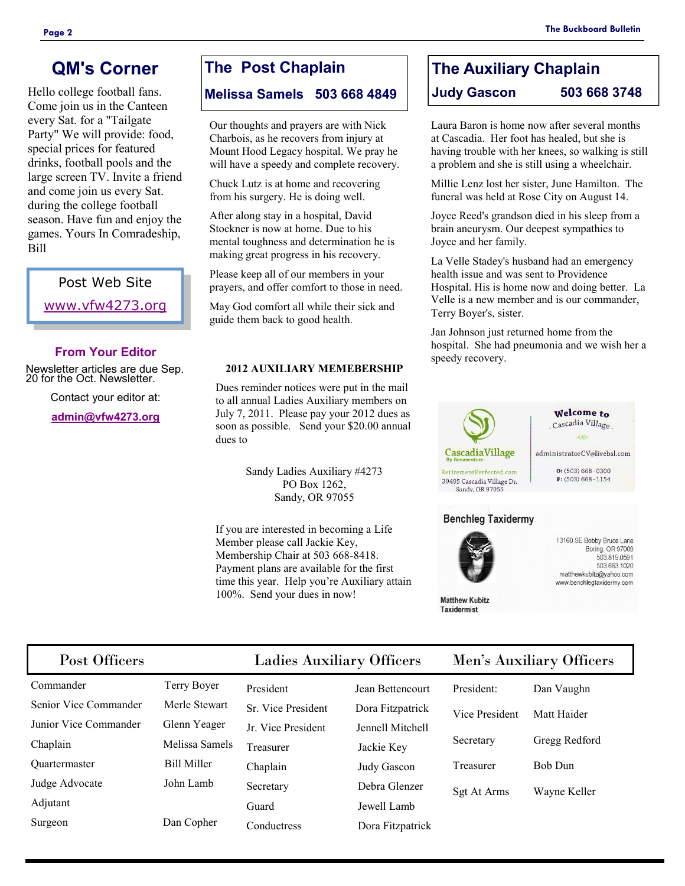### **QM's Corner**

Hello college football fans. Come join us in the Canteen every Sat. for a "Tailgate Party" We will provide: food, special prices for featured drinks, football pools and the large screen TV. Invite a friend and come join us every Sat. during the college football season. Have fun and enjoy the games. Yours In Comradeship, Bill

> Post Web Site [www.vfw4273.org](http://www.vfw4273.org/)

#### **From Your Editor**

Newsletter articles are due Sep. 20 for the Oct. Newsletter.

Contact your editor at:

**[admin@vfw4273.org](mailto:admin@vfw4273.org)**

### **The Post Chaplain**

#### **Melissa Samels 503 668 4849**

Our thoughts and prayers are with Nick Charbois, as he recovers from injury at Mount Hood Legacy hospital. We pray he will have a speedy and complete recovery.

Chuck Lutz is at home and recovering from his surgery. He is doing well.

After along stay in a hospital, David Stockner is now at home. Due to his mental toughness and determination he is making great progress in his recovery.

Please keep all of our members in your prayers, and offer comfort to those in need.

May God comfort all while their sick and guide them back to good health.

#### **2012 AUXILIARY MEMEBERSHIP**

Dues reminder notices were put in the mail to all annual Ladies Auxiliary members on July 7, 2011. Please pay your 2012 dues as soon as possible. Send your \$20.00 annual dues to

> Sandy Ladies Auxiliary #4273 PO Box 1262, Sandy, OR 97055

If you are interested in becoming a Life Member please call Jackie Key, Membership Chair at 503 668-8418. Payment plans are available for the first time this year. Help you're Auxiliary attain 100%. Send your dues in now!

### **The Auxiliary Chaplain Judy Gascon 503 668 3748**

Laura Baron is home now after several months at Cascadia. Her foot has healed, but she is having trouble with her knees, so walking is still a problem and she is still using a wheelchair.

Millie Lenz lost her sister, June Hamilton. The funeral was held at Rose City on August 14.

Joyce Reed's grandson died in his sleep from a brain aneurysm. Our deepest sympathies to Joyce and her family.

La Velle Stadey's husband had an emergency health issue and was sent to Providence Hospital. His is home now and doing better. La Velle is a new member and is our commander, Terry Boyer's, sister.

Jan Johnson just returned home from the hospital. She had pneumonia and we wish her a speedy recovery.





**Matthew Kubitz Taxidermist** 

13160 SE Bobby Bruce Lane Boring, OR 97009 503.819.0591 503.663.1020 matthewkubitz@yahoo.com www.benchlegtaxidermy.com

### Post Officers Ladies Auxiliary Officers M

| Commander             |  |  |
|-----------------------|--|--|
| Senior Vice Commander |  |  |
| Junior Vice Commander |  |  |
| Chaplain              |  |  |
| Quartermaster         |  |  |
| Judge Advocate        |  |  |
| Adjutant              |  |  |
| Surgeon               |  |  |

Terry Boyer Merle Stewart Glenn Yeager Melissa Samels Bill Miller John Lamb Dan Copher

President Jean Bettencourt Sr. Vice President Dora Fitzpatrick Jr. Vice President Jennell Mitchell Treasurer Jackie Key Chaplain Judy Gascon Secretary Debra Glenzer Guard Jewell Lamb Conductress Dora Fitzpatrick

|  | len's Auxiliary Officers |
|--|--------------------------|
|  |                          |

| President:     | Dan Vaughn     |
|----------------|----------------|
| Vice President | Matt Haider    |
| Secretary      | Gregg Redford  |
| Treasurer      | <b>Bob Dun</b> |
| Sgt At Arms    | Wayne Keller   |
|                |                |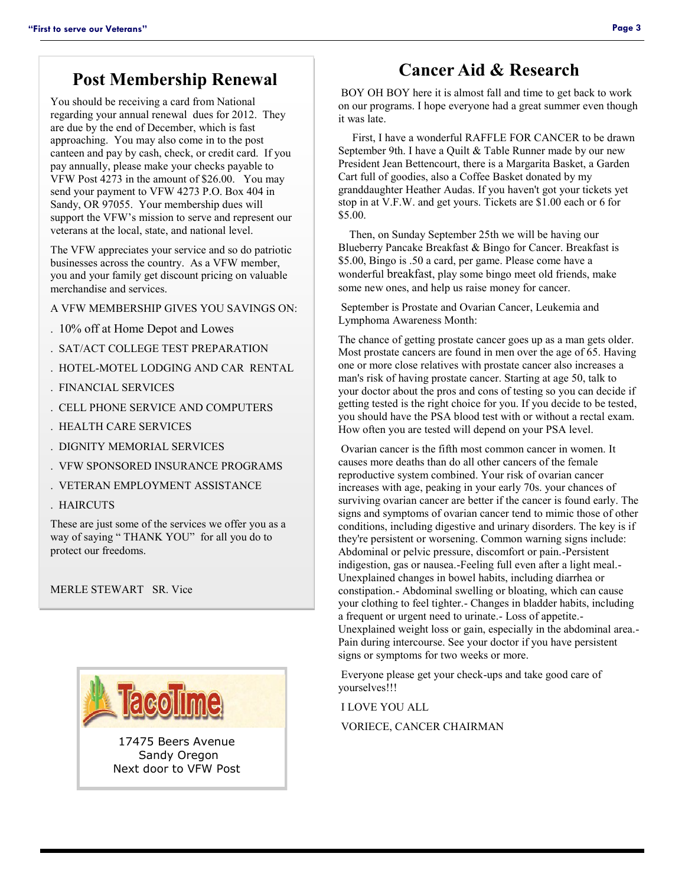### **Post Membership Renewal**

You should be receiving a card from National regarding your annual renewal dues for 2012. They are due by the end of December, which is fast approaching. You may also come in to the post canteen and pay by cash, check, or credit card. If you pay annually, please make your checks payable to VFW Post 4273 in the amount of \$26.00. You may send your payment to VFW 4273 P.O. Box 404 in Sandy, OR 97055. Your membership dues will support the VFW's mission to serve and represent our veterans at the local, state, and national level.

The VFW appreciates your service and so do patriotic businesses across the country. As a VFW member, you and your family get discount pricing on valuable merchandise and services.

A VFW MEMBERSHIP GIVES YOU SAVINGS ON:

- . 10% off at Home Depot and Lowes
- . SAT/ACT COLLEGE TEST PREPARATION
- . HOTEL-MOTEL LODGING AND CAR RENTAL
- . FINANCIAL SERVICES
- . CELL PHONE SERVICE AND COMPUTERS
- . HEALTH CARE SERVICES
- . DIGNITY MEMORIAL SERVICES
- . VFW SPONSORED INSURANCE PROGRAMS
- . VETERAN EMPLOYMENT ASSISTANCE
- . HAIRCUTS

These are just some of the services we offer you as a way of saying " THANK YOU" for all you do to protect our freedoms.

MERLE STEWART SR. Vice



17475 Beers Avenue Sandy Oregon Next door to VFW Post

### **Cancer Aid & Research**

BOY OH BOY here it is almost fall and time to get back to work on our programs. I hope everyone had a great summer even though it was late.

 First, I have a wonderful RAFFLE FOR CANCER to be drawn September 9th. I have a Quilt & Table Runner made by our new President Jean Bettencourt, there is a Margarita Basket, a Garden Cart full of goodies, also a Coffee Basket donated by my granddaughter Heather Audas. If you haven't got your tickets yet stop in at V.F.W. and get yours. Tickets are \$1.00 each or 6 for \$5.00.

 Then, on Sunday September 25th we will be having our Blueberry Pancake Breakfast & Bingo for Cancer. Breakfast is \$5.00, Bingo is .50 a card, per game. Please come have a wonderful breakfast, play some bingo meet old friends, make some new ones, and help us raise money for cancer.

September is Prostate and Ovarian Cancer, Leukemia and Lymphoma Awareness Month:

The chance of getting prostate cancer goes up as a man gets older. Most prostate cancers are found in men over the age of 65. Having one or more close relatives with prostate cancer also increases a man's risk of having prostate cancer. Starting at age 50, talk to your doctor about the pros and cons of testing so you can decide if getting tested is the right choice for you. If you decide to be tested, you should have the PSA blood test with or without a rectal exam. How often you are tested will depend on your PSA level.

Ovarian cancer is the fifth most common cancer in women. It causes more deaths than do all other cancers of the female reproductive system combined. Your risk of ovarian cancer increases with age, peaking in your early 70s. your chances of surviving ovarian cancer are better if the cancer is found early. The signs and symptoms of ovarian cancer tend to mimic those of other conditions, including digestive and urinary disorders. The key is if they're persistent or worsening. Common warning signs include: Abdominal or pelvic pressure, discomfort or pain.-Persistent indigestion, gas or nausea.-Feeling full even after a light meal.- Unexplained changes in bowel habits, including diarrhea or constipation.- Abdominal swelling or bloating, which can cause your clothing to feel tighter.- Changes in bladder habits, including a frequent or urgent need to urinate.- Loss of appetite.- Unexplained weight loss or gain, especially in the abdominal area.- Pain during intercourse. See your doctor if you have persistent signs or symptoms for two weeks or more.

Everyone please get your check-ups and take good care of yourselves!!!

I LOVE YOU ALL

VORIECE, CANCER CHAIRMAN